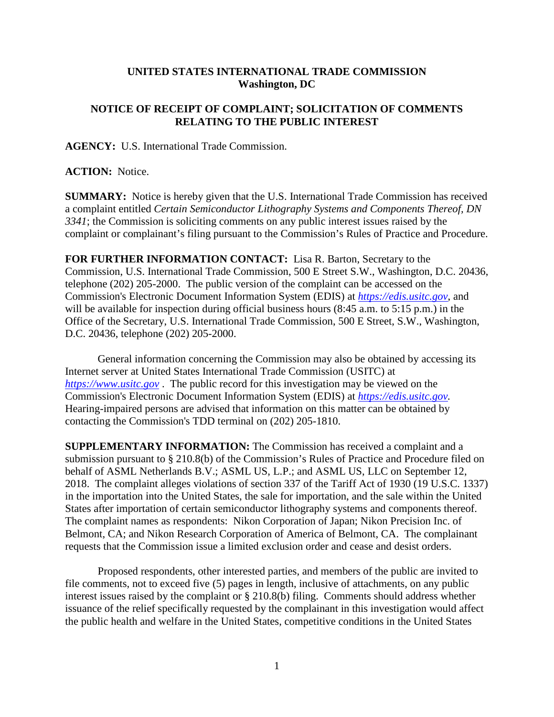## **UNITED STATES INTERNATIONAL TRADE COMMISSION Washington, DC**

## **NOTICE OF RECEIPT OF COMPLAINT; SOLICITATION OF COMMENTS RELATING TO THE PUBLIC INTEREST**

**AGENCY:** U.S. International Trade Commission.

**ACTION:** Notice.

**SUMMARY:** Notice is hereby given that the U.S. International Trade Commission has received a complaint entitled *Certain Semiconductor Lithography Systems and Components Thereof, DN 3341*; the Commission is soliciting comments on any public interest issues raised by the complaint or complainant's filing pursuant to the Commission's Rules of Practice and Procedure.

**FOR FURTHER INFORMATION CONTACT:** Lisa R. Barton, Secretary to the Commission, U.S. International Trade Commission, 500 E Street S.W., Washington, D.C. 20436, telephone (202) 205-2000. The public version of the complaint can be accessed on the Commission's Electronic Document Information System (EDIS) at *[https://edis.usitc.gov](https://edis.usitc.gov/)*, and will be available for inspection during official business hours (8:45 a.m. to 5:15 p.m.) in the Office of the Secretary, U.S. International Trade Commission, 500 E Street, S.W., Washington, D.C. 20436, telephone (202) 205-2000.

General information concerning the Commission may also be obtained by accessing its Internet server at United States International Trade Commission (USITC) at *[https://www.usitc.gov](https://www.usitc.gov/)* . The public record for this investigation may be viewed on the Commission's Electronic Document Information System (EDIS) at *[https://edis.usitc.gov.](https://edis.usitc.gov/)* Hearing-impaired persons are advised that information on this matter can be obtained by contacting the Commission's TDD terminal on (202) 205-1810.

**SUPPLEMENTARY INFORMATION:** The Commission has received a complaint and a submission pursuant to § 210.8(b) of the Commission's Rules of Practice and Procedure filed on behalf of ASML Netherlands B.V.; ASML US, L.P.; and ASML US, LLC on September 12, 2018. The complaint alleges violations of section 337 of the Tariff Act of 1930 (19 U.S.C. 1337) in the importation into the United States, the sale for importation, and the sale within the United States after importation of certain semiconductor lithography systems and components thereof. The complaint names as respondents: Nikon Corporation of Japan; Nikon Precision Inc. of Belmont, CA; and Nikon Research Corporation of America of Belmont, CA. The complainant requests that the Commission issue a limited exclusion order and cease and desist orders.

Proposed respondents, other interested parties, and members of the public are invited to file comments, not to exceed five (5) pages in length, inclusive of attachments, on any public interest issues raised by the complaint or § 210.8(b) filing. Comments should address whether issuance of the relief specifically requested by the complainant in this investigation would affect the public health and welfare in the United States, competitive conditions in the United States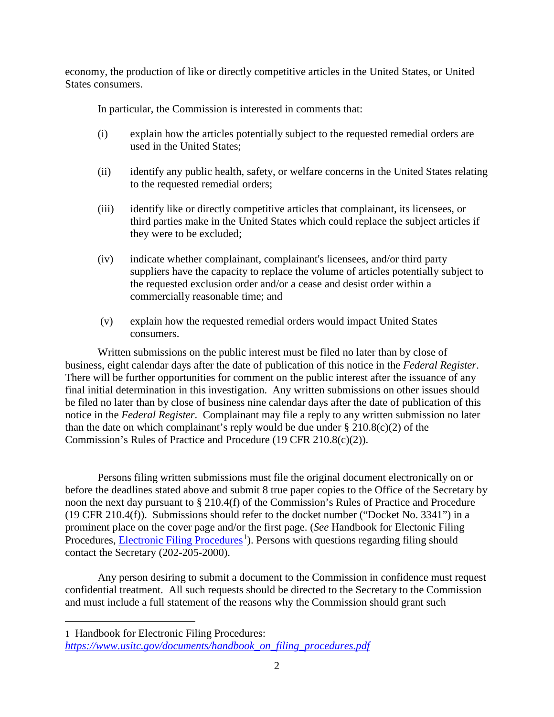economy, the production of like or directly competitive articles in the United States, or United States consumers.

In particular, the Commission is interested in comments that:

- (i) explain how the articles potentially subject to the requested remedial orders are used in the United States;
- (ii) identify any public health, safety, or welfare concerns in the United States relating to the requested remedial orders;
- (iii) identify like or directly competitive articles that complainant, its licensees, or third parties make in the United States which could replace the subject articles if they were to be excluded;
- (iv) indicate whether complainant, complainant's licensees, and/or third party suppliers have the capacity to replace the volume of articles potentially subject to the requested exclusion order and/or a cease and desist order within a commercially reasonable time; and
- (v) explain how the requested remedial orders would impact United States consumers.

Written submissions on the public interest must be filed no later than by close of business, eight calendar days after the date of publication of this notice in the *Federal Register*. There will be further opportunities for comment on the public interest after the issuance of any final initial determination in this investigation. Any written submissions on other issues should be filed no later than by close of business nine calendar days after the date of publication of this notice in the *Federal Register*. Complainant may file a reply to any written submission no later than the date on which complainant's reply would be due under  $\S 210.8(c)(2)$  of the Commission's Rules of Practice and Procedure (19 CFR 210.8(c)(2)).

Persons filing written submissions must file the original document electronically on or before the deadlines stated above and submit 8 true paper copies to the Office of the Secretary by noon the next day pursuant to § 210.4(f) of the Commission's Rules of Practice and Procedure (19 CFR 210.4(f)). Submissions should refer to the docket number ("Docket No. 3341") in a prominent place on the cover page and/or the first page. (*See* Handbook for Electonic Filing Procedures, **Electronic Filing Procedures**<sup>[1](#page-1-0)</sup>). Persons with questions regarding filing should contact the Secretary (202-205-2000).

Any person desiring to submit a document to the Commission in confidence must request confidential treatment. All such requests should be directed to the Secretary to the Commission and must include a full statement of the reasons why the Commission should grant such

<span id="page-1-0"></span>1 Handbook for Electronic Filing Procedures:

 $\overline{a}$ 

*[https://www.usitc.gov/documents/handbook\\_on\\_filing\\_procedures.pdf](https://www.usitc.gov/documents/handbook_on_filing_procedures.pdf)*